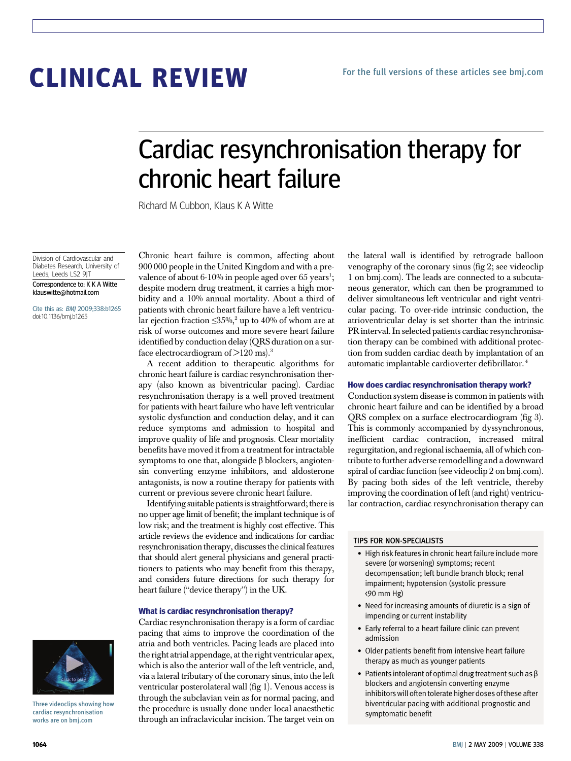# CLINICAL REVIEW

## Cardiac resynchronisation therapy for chronic heart failure

Richard M Cubbon, Klaus K A Witte

Division of Cardiovascular and Diabetes Research, University of Leeds, Leeds LS2 9JT

Correspondence to: K K A Witte klauswitte@hotmail.com

Cite this as: BMJ 2009;338:b1265 doi:10.1136/bmj.b1265

Chronic heart failure is common, affecting about 900 000 people in the United Kingdom and with a prevalence of about 6-10% in people aged over 65 years<sup>1</sup>; despite modern drug treatment, it carries a high morbidity and a 10% annual mortality. About a third of patients with chronic heart failure have a left ventricular ejection fraction  $\leq 35\%$ ,<sup>2</sup> up to 40% of whom are at risk of worse outcomes and more severe heart failure identified by conduction delay (QRS duration on a surface electrocardiogram of  $>120$  ms).<sup>3</sup>

A recent addition to therapeutic algorithms for chronic heart failure is cardiac resynchronisation therapy (also known as biventricular pacing). Cardiac resynchronisation therapy is a well proved treatment for patients with heart failure who have left ventricular systolic dysfunction and conduction delay, and it can reduce symptoms and admission to hospital and improve quality of life and prognosis. Clear mortality benefits have moved it from a treatment for intractable symptoms to one that, alongside β blockers, angiotensin converting enzyme inhibitors, and aldosterone antagonists, is now a routine therapy for patients with current or previous severe chronic heart failure.

Identifying suitable patients is straightforward; there is no upper age limit of benefit; the implant technique is of low risk; and the treatment is highly cost effective. This article reviews the evidence and indications for cardiac resynchronisation therapy, discusses the clinical features that should alert general physicians and general practitioners to patients who may benefit from this therapy, and considers future directions for such therapy for heart failure ("device therapy") in the UK.

#### What is cardiac resynchronisation therapy?

Cardiac resynchronisation therapy is a form of cardiac pacing that aims to improve the coordination of the atria and both ventricles. Pacing leads are placed into the right atrial appendage, at the right ventricular apex, which is also the anterior wall of the left ventricle, and, via a lateral tributary of the coronary sinus, into the left ventricular posterolateral wall (fig 1). Venous access is through the subclavian vein as for normal pacing, and the procedure is usually done under local anaesthetic through an infraclavicular incision. The target vein on the lateral wall is identified by retrograde balloon venography of the coronary sinus (fig 2; see videoclip 1 on bmj.com). The leads are connected to a subcutaneous generator, which can then be programmed to deliver simultaneous left ventricular and right ventricular pacing. To over-ride intrinsic conduction, the atrioventricular delay is set shorter than the intrinsic PR interval. In selected patients cardiac resynchronisation therapy can be combined with additional protection from sudden cardiac death by implantation of an automatic implantable cardioverter defibrillator. <sup>4</sup>

#### How does cardiac resynchronisation therapy work?

Conduction system disease is common in patients with chronic heart failure and can be identified by a broad QRS complex on a surface electrocardiogram (fig 3). This is commonly accompanied by dyssynchronous, inefficient cardiac contraction, increased mitral regurgitation, and regional ischaemia, all of which contribute to further adverse remodelling and a downward spiral of cardiac function (see videoclip 2 on bmj.com). By pacing both sides of the left ventricle, thereby improving the coordination of left (and right) ventricular contraction, cardiac resynchronisation therapy can

#### TIPS FOR NON-SPECIALISTS

- High risk features in chronic heart failure include more severe (or worsening) symptoms; recent decompensation; left bundle branch block; renal impairment; hypotension (systolic pressure <90 mm Hg)
- Need for increasing amounts of diuretic is a sign of impending or current instability
- Early referral to a heart failure clinic can prevent admission
- Older patients benefit from intensive heart failure therapy as much as younger patients
- Patients intolerant of optimal drug treatment such as β blockers and angiotensin converting enzyme inhibitors will often tolerate higher doses of these after biventricular pacing with additional prognostic and symptomatic benefit



Three videoclips showing how cardiac resynchronisation works are on bmj.com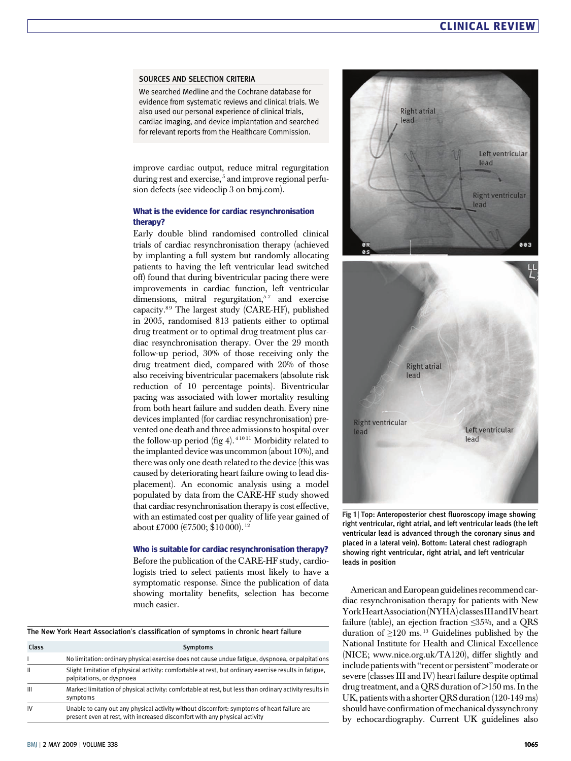### CLINICAL REVIEW

#### SOURCES AND SELECTION CRITERIA

We searched Medline and the Cochrane database for evidence from systematic reviews and clinical trials. We also used our personal experience of clinical trials, cardiac imaging, and device implantation and searched for relevant reports from the Healthcare Commission.

improve cardiac output, reduce mitral regurgitation during rest and exercise,<sup>5</sup> and improve regional perfusion defects (see videoclip 3 on bmj.com).

#### What is the evidence for cardiac resynchronisation therapy?

Early double blind randomised controlled clinical trials of cardiac resynchronisation therapy (achieved by implanting a full system but randomly allocating patients to having the left ventricular lead switched off) found that during biventricular pacing there were improvements in cardiac function, left ventricular dimensions, mitral regurgitation, $5-7$  and exercise capacity.8 9 The largest study (CARE-HF), published in 2005, randomised 813 patients either to optimal drug treatment or to optimal drug treatment plus cardiac resynchronisation therapy. Over the 29 month follow-up period, 30% of those receiving only the drug treatment died, compared with 20% of those also receiving biventricular pacemakers (absolute risk reduction of 10 percentage points). Biventricular pacing was associated with lower mortality resulting from both heart failure and sudden death. Every nine devices implanted (for cardiac resynchronisation) prevented one death and three admissions to hospital over the follow-up period (fig 4).  $4^{1011}$  Morbidity related to the implanted device was uncommon (about 10%), and there was only one death related to the device (this was caused by deteriorating heart failure owing to lead displacement). An economic analysis using a model populated by data from the CARE-HF study showed that cardiac resynchronisation therapy is cost effective, with an estimated cost per quality of life year gained of about £7000 (€7500; \$10 000). <sup>12</sup>

#### Who is suitable for cardiac resynchronisation therapy?

Before the publication of the CARE-HF study, cardiologists tried to select patients most likely to have a symptomatic response. Since the publication of data showing mortality benefits, selection has become much easier.

The New York Heart Association's classification of symptoms in chronic heart failure

| Class | Symptoms                                                                                                                                                                  |
|-------|---------------------------------------------------------------------------------------------------------------------------------------------------------------------------|
|       | No limitation: ordinary physical exercise does not cause undue fatigue, dyspnoea, or palpitations                                                                         |
| II    | Slight limitation of physical activity: comfortable at rest, but ordinary exercise results in fatigue,<br>palpitations, or dyspnoea                                       |
| Ш     | Marked limitation of physical activity: comfortable at rest, but less than ordinary activity results in<br>symptoms                                                       |
| ١V    | Unable to carry out any physical activity without discomfort: symptoms of heart failure are<br>present even at rest, with increased discomfort with any physical activity |
|       |                                                                                                                                                                           |





Fig 1 | Top: Anteroposterior chest fluoroscopy image showing right ventricular, right atrial, and left ventricular leads (the left ventricular lead is advanced through the coronary sinus and placed in a lateral vein). Bottom: Lateral chest radiograph showing right ventricular, right atrial, and left ventricular leads in position

American and European guidelines recommend cardiac resynchronisation therapy for patients with New YorkHeartAssociation(NYHA)classesIIIandIVheart failure (table), an ejection fraction  $\leq 35\%$ , and a QRS duration of  $\geq$ 120 ms.<sup>13</sup> Guidelines published by the National Institute for Health and Clinical Excellence (NICE; www.nice.org.uk/TA120), differ slightly and include patients with "recent or persistent" moderate or severe (classes III and IV) heart failure despite optimal drug treatment, and a QRS duration of >150 ms. In the UK, patients with a shorter QRS duration (120-149 ms) should have confirmation of mechanical dyssynchrony by echocardiography. Current UK guidelines also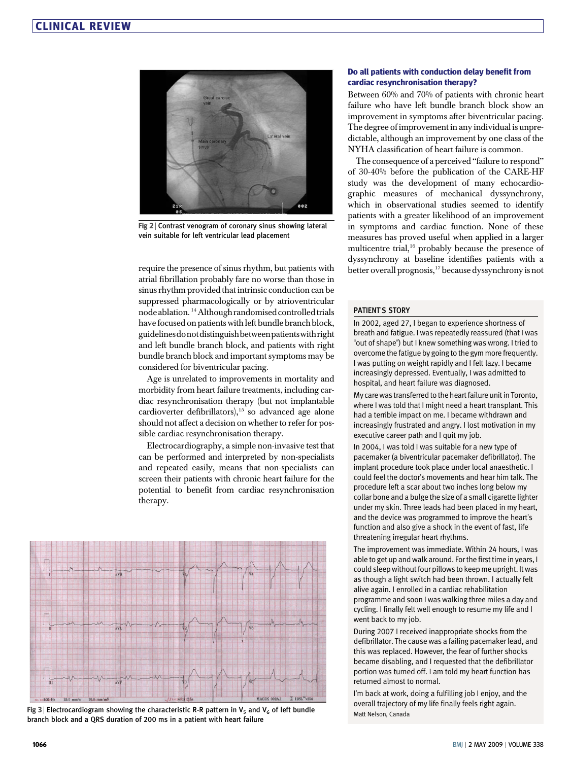

Fig 2 <sup>|</sup> Contrast venogram of coronary sinus showing lateral vein suitable for left ventricular lead placement

require the presence of sinus rhythm, but patients with atrial fibrillation probably fare no worse than those in sinus rhythm provided that intrinsic conduction can be suppressed pharmacologically or by atrioventricular node ablation. 14Although randomised controlledtrials have focused on patients with left bundle branch block, guidelinesdonotdistinguishbetweenpatientswithright and left bundle branch block, and patients with right bundle branch block and important symptoms may be considered for biventricular pacing.

Age is unrelated to improvements in mortality and morbidity from heart failure treatments, including cardiac resynchronisation therapy (but not implantable cardioverter defibrillators), $15$  so advanced age alone should not affect a decision on whether to refer for possible cardiac resynchronisation therapy.

Electrocardiography, a simple non-invasive test that can be performed and interpreted by non-specialists and repeated easily, means that non-specialists can screen their patients with chronic heart failure for the potential to benefit from cardiac resynchronisation therapy.



Fig 3 | Electrocardiogram showing the characteristic R-R pattern in  $V_5$  and  $V_6$  of left bundle Matt Nelson, Canada branch block and a QRS duration of 200 ms in a patient with heart failure

#### Do all patients with conduction delay benefit from cardiac resynchronisation therapy?

Between 60% and 70% of patients with chronic heart failure who have left bundle branch block show an improvement in symptoms after biventricular pacing. The degree of improvement in any individual is unpredictable, although an improvement by one class of the NYHA classification of heart failure is common.

The consequence of a perceived "failure to respond" of 30-40% before the publication of the CARE-HF study was the development of many echocardiographic measures of mechanical dyssynchrony, which in observational studies seemed to identify patients with a greater likelihood of an improvement in symptoms and cardiac function. None of these measures has proved useful when applied in a larger multicentre trial,<sup>16</sup> probably because the presence of dyssynchrony at baseline identifies patients with a better overall prognosis,<sup>17</sup> because dyssynchrony is not

#### PATIENT'S STORY

In 2002, aged 27, I began to experience shortness of breath and fatigue. I was repeatedly reassured (that I was "out of shape") but I knew something was wrong. I tried to overcome the fatigue by going to the gym more frequently. I was putting on weight rapidly and I felt lazy. I became increasingly depressed. Eventually, I was admitted to hospital, and heart failure was diagnosed.

My care was transferred to the heart failure unit in Toronto, where I was told that I might need a heart transplant. This had a terrible impact on me. I became withdrawn and increasingly frustrated and angry. I lost motivation in my executive career path and I quit my job.

In 2004, I was told I was suitable for a new type of pacemaker (a biventricular pacemaker defibrillator). The implant procedure took place under local anaesthetic. I could feel the doctor's movements and hear him talk. The procedure left a scar about two inches long below my collar bone and a bulge the size of a small cigarette lighter under my skin. Three leads had been placed in my heart, and the device was programmed to improve the heart's function and also give a shock in the event of fast, life threatening irregular heart rhythms.

The improvement was immediate. Within 24 hours, I was able to get up and walk around. For the first time in years, I could sleep without four pillows to keep me upright. It was as though a light switch had been thrown. I actually felt alive again. I enrolled in a cardiac rehabilitation programme and soon I was walking three miles a day and cycling. I finally felt well enough to resume my life and I went back to my job.

During 2007 I received inappropriate shocks from the defibrillator. The cause was a failing pacemaker lead, and this was replaced. However, the fear of further shocks became disabling, and I requested that the defibrillator portion was turned off. I am told my heart function has returned almost to normal.

I'm back at work, doing a fulfilling job I enjoy, and the overall trajectory of my life finally feels right again.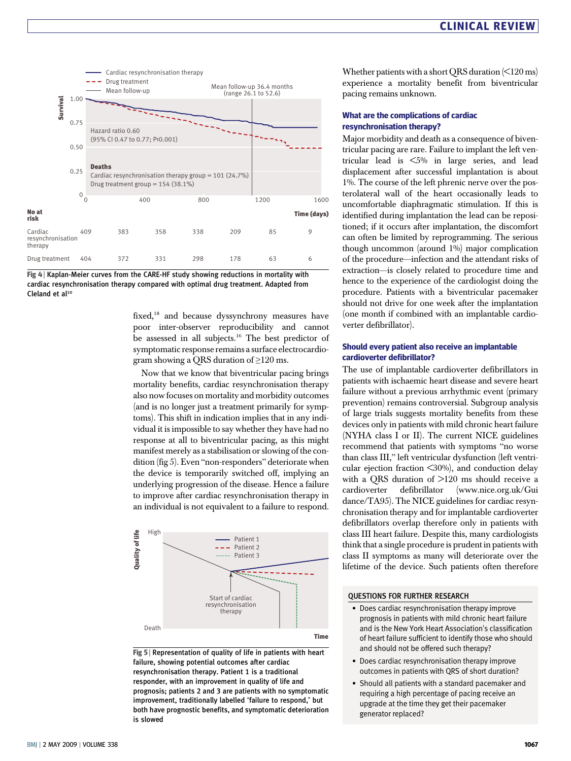



fixed,18 and because dyssynchrony measures have poor inter-observer reproducibility and cannot be assessed in all subjects.<sup>16</sup> The best predictor of symptomatic response remains a surface electrocardiogram showing a QRS duration of ≥120 ms.

Now that we know that biventricular pacing brings mortality benefits, cardiac resynchronisation therapy also now focuses on mortality and morbidity outcomes (and is no longer just a treatment primarily for symptoms). This shift in indication implies that in any individual it is impossible to say whether they have had no response at all to biventricular pacing, as this might manifest merely as a stabilisation or slowing of the condition (fig 5). Even "non-responders" deteriorate when the device is temporarily switched off, implying an underlying progression of the disease. Hence a failure to improve after cardiac resynchronisation therapy in an individual is not equivalent to a failure to respond.



Fig 5 <sup>|</sup> Representation of quality of life in patients with heart failure, showing potential outcomes after cardiac resynchronisation therapy. Patient 1 is a traditional responder, with an improvement in quality of life and prognosis; patients 2 and 3 are patients with no symptomatic improvement, traditionally labelled "failure to respond," but both have prognostic benefits, and symptomatic deterioration is slowed

Whether patients with a short QRS duration (<120 ms) experience a mortality benefit from biventricular pacing remains unknown.

#### What are the complications of cardiac resynchronisation therapy?

Major morbidity and death as a consequence of biventricular pacing are rare. Failure to implant the left ventricular lead is <5% in large series, and lead displacement after successful implantation is about 1%. The course of the left phrenic nerve over the posterolateral wall of the heart occasionally leads to uncomfortable diaphragmatic stimulation. If this is identified during implantation the lead can be repositioned; if it occurs after implantation, the discomfort can often be limited by reprogramming. The serious though uncommon (around 1%) major complication of the procedure—infection and the attendant risks of extraction—is closely related to procedure time and hence to the experience of the cardiologist doing the procedure. Patients with a biventricular pacemaker should not drive for one week after the implantation (one month if combined with an implantable cardioverter defibrillator).

#### Should every patient also receive an implantable cardioverter defibrillator?

The use of implantable cardioverter defibrillators in patients with ischaemic heart disease and severe heart failure without a previous arrhythmic event (primary prevention) remains controversial. Subgroup analysis of large trials suggests mortality benefits from these devices only in patients with mild chronic heart failure (NYHA class I or II). The current NICE guidelines recommend that patients with symptoms "no worse than class III," left ventricular dysfunction (left ventricular ejection fraction <30%), and conduction delay with a QRS duration of >120 ms should receive a cardioverter defibrillator (www.nice.org.uk/Gui dance/TA95). The NICE guidelines for cardiac resynchronisation therapy and for implantable cardioverter defibrillators overlap therefore only in patients with class III heart failure. Despite this, many cardiologists think that a single procedure is prudent in patients with class II symptoms as many will deteriorate over the lifetime of the device. Such patients often therefore

#### QUESTIONS FOR FURTHER RESEARCH

- Does cardiac resynchronisation therapy improve prognosis in patients with mild chronic heart failure and is the New York Heart Association's classification of heart failure sufficient to identify those who should and should not be offered such therapy?
- Does cardiac resynchronisation therapy improve outcomes in patients with QRS of short duration?
- Should all patients with a standard pacemaker and requiring a high percentage of pacing receive an upgrade at the time they get their pacemaker generator replaced?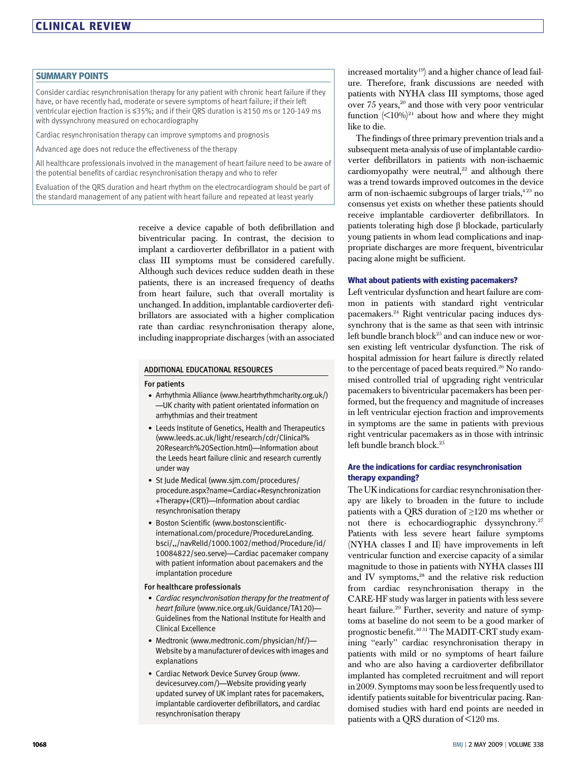## CLINICAL REVIEW

#### SUMMARY POINTS

Consider cardiac resynchronisation therapy for any patient with chronic heart failure if they have, or have recently had, moderate or severe symptoms of heart failure; if their left ventricular ejection fraction is ≤35%; and if their QRS duration is ≥150 ms or 120-149 ms with dyssynchrony measured on echocardiography

Cardiac resynchronisation therapy can improve symptoms and prognosis

Advanced age does not reduce the effectiveness of the therapy

All healthcare professionals involved in the management of heart failure need to be aware of the potential benefits of cardiac resynchronisation therapy and who to refer

Evaluation of the QRS duration and heart rhythm on the electrocardiogram should be part of the standard management of any patient with heart failure and repeated at least yearly

> receive a device capable of both defibrillation and biventricular pacing. In contrast, the decision to implant a cardioverter defibrillator in a patient with class III symptoms must be considered carefully. Although such devices reduce sudden death in these patients, there is an increased frequency of deaths from heart failure, such that overall mortality is unchanged. In addition, implantable cardioverter defibrillators are associated with a higher complication rate than cardiac resynchronisation therapy alone, including inappropriate discharges (with an associated

#### ADDITIONAL EDUCATIONAL RESOURCES

#### For patients

- Arrhythmia Alliance (www.heartrhythmcharity.org.uk/) —UK charity with patient orientated information on arrhythmias and their treatment
- Leeds Institute of Genetics, Health and Therapeutics (www.leeds.ac.uk/light/research/cdr/Clinical% 20Research%20Section.html)—Information about the Leeds heart failure clinic and research currently under way
- St Jude Medical (www.sjm.com/procedures/ procedure.aspx?name=Cardiac+Resynchronization +Therapy+(CRT))—Information about cardiac resynchronisation therapy
- Boston Scientific (www.bostonscientificinternational.com/procedure/ProcedureLanding. bsci/,,/navRelId/1000.1002/method/Procedure/id/ 10084822/seo.serve)—Cardiac pacemaker company with patient information about pacemakers and the implantation procedure

#### For healthcare professionals

- Cardiac resynchronisation therapy for the treatment of heart failure (www.nice.org.uk/Guidance/TA120)— Guidelines from the National Institute for Health and Clinical Excellence
- Medtronic (www.medtronic.com/physician/hf/)-Website by a manufacturer of devices with images and explanations
- Cardiac Network Device Survey Group (www. devicesurvey.com/)—Website providing yearly updated survey of UK implant rates for pacemakers, implantable cardioverter defibrillators, and cardiac resynchronisation therapy

increased mortality<sup>19</sup>) and a higher chance of lead failure. Therefore, frank discussions are needed with patients with NYHA class III symptoms, those aged over  $75$  years, $20$  and those with very poor ventricular function  $\langle \langle 10\% \rangle^{21}$  about how and where they might like to die.

The findings of three primary prevention trials and a subsequent meta-analysis of use of implantable cardioverter defibrillators in patients with non-ischaemic cardiomyopathy were neutral, $22$  and although there was a trend towards improved outcomes in the device arm of non-ischaemic subgroups of larger trials, $423$  no consensus yet exists on whether these patients should receive implantable cardioverter defibrillators. In patients tolerating high dose β blockade, particularly young patients in whom lead complications and inappropriate discharges are more frequent, biventricular pacing alone might be sufficient.

#### What about patients with existing pacemakers?

Left ventricular dysfunction and heart failure are common in patients with standard right ventricular pacemakers.24 Right ventricular pacing induces dyssynchrony that is the same as that seen with intrinsic left bundle branch block<sup>25</sup> and can induce new or worsen existing left ventricular dysfunction. The risk of hospital admission for heart failure is directly related to the percentage of paced beats required.<sup>26</sup> No randomised controlled trial of upgrading right ventricular pacemakers to biventricular pacemakers has been performed, but the frequency and magnitude of increases in left ventricular ejection fraction and improvements in symptoms are the same in patients with previous right ventricular pacemakers as in those with intrinsic left bundle branch block.<sup>25</sup>

#### Are the indications for cardiac resynchronisation therapy expanding?

The UK indications for cardiac resynchronisation therapy are likely to broaden in the future to include patients with a QRS duration of  $\geq$ 120 ms whether or not there is echocardiographic dyssynchrony.<sup>27</sup> Patients with less severe heart failure symptoms (NYHA classes I and II) have improvements in left ventricular function and exercise capacity of a similar magnitude to those in patients with NYHA classes III and IV symptoms,<sup>28</sup> and the relative risk reduction from cardiac resynchronisation therapy in the CARE-HF study was larger in patients with less severe heart failure.<sup>29</sup> Further, severity and nature of symptoms at baseline do not seem to be a good marker of prognostic benefit.30 31 The MADIT-CRT study examining "early" cardiac resynchronisation therapy in patients with mild or no symptoms of heart failure and who are also having a cardioverter defibrillator implanted has completed recruitment and will report in 2009. Symptoms may soon be less frequently used to identify patients suitable for biventricular pacing. Randomised studies with hard end points are needed in patients with a QRS duration of <120 ms.